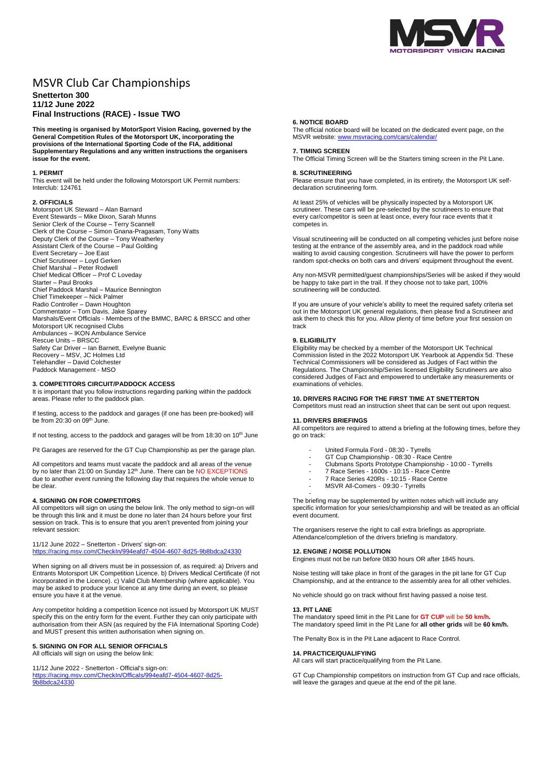

# MSVR Club Car Championships

# **Snetterton 300 11/12 June 2022 Final Instructions (RACE) - Issue TWO**

**This meeting is organised by MotorSport Vision Racing, governed by the General Competition Rules of the Motorsport UK, incorporating the provisions of the International Sporting Code of the FIA, additional Supplementary Regulations and any written instructions the organisers issue for the event.**

# **1. PERMIT**

This event will be held under the following Motorsport UK Permit numbers: Interclub: 124761

# **2. OFFICIALS**

Motorsport UK Steward – Alan Barnard Event Stewards – Mike Dixon, Sarah Munns Senior Clerk of the Course – Terry Scannell Clerk of the Course – Simon Gnana-Pragasam, Tony Watts Deputy Clerk of the Course – Tony Weatherley Assistant Clerk of the Course – Paul Golding Event Secretary – Joe East Chief Scrutineer – Loyd Gerken Chief Marshal – Peter Rodwell Chief Medical Officer – Prof C Loveday Starter – Paul Brooks Chief Paddock Marshal – Maurice Bennington Chief Timekeeper – Nick Palmer Radio Controller – Dawn Houghton Commentator – Tom Davis, Jake Sparey Marshals/Event Officials - Members of the BMMC, BARC & BRSCC and other Motorsport UK recognised Clubs Ambulances – IKON Ambulance Service Rescue Units – BRSCC Safety Car Driver – Ian Barnett, Evelyne Buanic Recovery – MSV, JC Holmes Ltd Telehandler – David Colchester Paddock Management - MSO

# **3. COMPETITORS CIRCUIT/PADDOCK ACCESS**

It is important that you follow instructions regarding parking within the paddock areas. Please refer to the paddock plan.

If testing, access to the paddock and garages (if one has been pre-booked) will be from 20:30 on 09th June.

If not testing, access to the paddock and garages will be from 18:30 on 10<sup>th</sup> June

Pit Garages are reserved for the GT Cup Championship as per the garage plan.

All competitors and teams must vacate the paddock and all areas of the venue by no later than 21:00 on Sunday 12<sup>th</sup> June. There can be NO EXCEPTIONS due to another event running the following day that requires the whole venue to be clear

# **4. SIGNING ON FOR COMPETITORS**

All competitors will sign on using the below link. The only method to sign-on will be through this link and it must be done no later than 24 hours before your first session on track. This is to ensure that you aren't prevented from joining your relevant session:

11/12 June 2022 – Snetterton - Drivers' sign-on: <https://racing.msv.com/CheckIn/994eafd7-4504-4607-8d25-9b8bdca24330>

When signing on all drivers must be in possession of, as required: a) Drivers and Entrants Motorsport UK Competition Licence. b) Drivers Medical Certificate (if not incorporated in the Licence). c) Valid Club Membership (where applicable). You may be asked to produce your licence at any time during an event, so please ensure you have it at the venue.

Any competitor holding a competition licence not issued by Motorsport UK MUST specify this on the entry form for the event. Further they can only participate with authorisation from their ASN (as required by the FIA International Sporting Code) and MUST present this written authorisation when signing on.

# **5. SIGNING ON FOR ALL SENIOR OFFICIALS**

All officials will sign on using the below link:

11/12 June 2022 - Snetterton - Official's sign-on:

[https://racing.msv.com/CheckIn/Officals/994eafd7-4504-4607-8d25-](https://racing.msv.com/CheckIn/Officals/994eafd7-4504-4607-8d25-9b8bdca24330) [9b8bdca24330](https://racing.msv.com/CheckIn/Officals/994eafd7-4504-4607-8d25-9b8bdca24330)

### **6. NOTICE BOARD**

The official notice board will be located on the dedicated event page, on the MSVR website: [www.msvracing.com/cars/calendar/](http://www.msvracing.com/cars/calendar/)

# **7. TIMING SCREEN**

The Official Timing Screen will be the Starters timing screen in the Pit Lane.

# **8. SCRUTINEERING**

Please ensure that you have completed, in its entirety, the Motorsport UK selfdeclaration scrutineering form.

At least 25% of vehicles will be physically inspected by a Motorsport UK scrutineer. These cars will be pre-selected by the scrutineers to ensure that every car/competitor is seen at least once, every four race events that it competes in.

Visual scrutineering will be conducted on all competing vehicles just before noise testing at the entrance of the assembly area, and in the paddock road while waiting to avoid causing congestion. Scrutineers will have the power to perform random spot-checks on both cars and drivers' equipment throughout the event.

Any non-MSVR permitted/guest championships/Series will be asked if they would be happy to take part in the trail. If they choose not to take part, 100% scrutineering will be conducted.

If you are unsure of your vehicle's ability to meet the required safety criteria set out in the Motorsport UK general regulations, then please find a Scrutineer and ask them to check this for you. Allow plenty of time before your first session on track

# **9. ELIGIBILITY**

Eligibility may be checked by a member of the Motorsport UK Technical Commission listed in the 2022 Motorsport UK Yearbook at Appendix 5d. These Technical Commissioners will be considered as Judges of Fact within the Regulations. The Championship/Series licensed Eligibility Scrutineers are also considered Judges of Fact and empowered to undertake any measurements or examinations of vehicles.

#### **10. DRIVERS RACING FOR THE FIRST TIME AT SNETTERTON**

Competitors must read an instruction sheet that can be sent out upon request.

# **11. DRIVERS BRIEFINGS**

All competitors are required to attend a briefing at the following times, before they go on track:

- United Formula Ford 08:30 Tyrrells
- GT Cup Championship 08:30 Race Centre
- Clubmans Sports Prototype Championship 10:00 Tyrrells
- 7 Race Series 1600s 10:15 Race Centre
- 7 Race Series 420Rs 10:15 Race Centre
- MSVR All-Comers 09:30 Tyrrells -

The briefing may be supplemented by written notes which will include any specific information for your series/championship and will be treated as an official event document.

The organisers reserve the right to call extra briefings as appropriate. Attendance/completion of the drivers briefing is mandatory.

# **12. ENGINE / NOISE POLLUTION**

Engines must not be run before 0830 hours OR after 1845 hours.

Noise testing will take place in front of the garages in the pit lane for GT Cup Championship, and at the entrance to the assembly area for all other vehicles.

No vehicle should go on track without first having passed a noise test.

## **13. PIT LANE**

The mandatory speed limit in the Pit Lane for **GT CUP** will be **50 km/h.** The mandatory speed limit in the Pit Lane for **all other grids** will be **60 km/h.**

The Penalty Box is in the Pit Lane adjacent to Race Control.

#### **14. PRACTICE/QUALIFYING**

All cars will start practice/qualifying from the Pit Lane.

GT Cup Championship competitors on instruction from GT Cup and race officials, will leave the garages and queue at the end of the pit lane.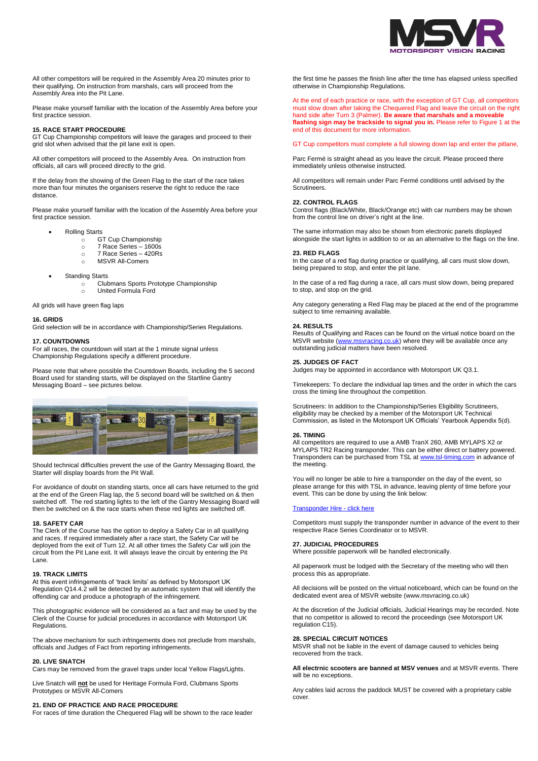

All other competitors will be required in the Assembly Area 20 minutes prior to their qualifying. On instruction from marshals, cars will proceed from the Assembly Area into the Pit Lane.

Please make yourself familiar with the location of the Assembly Area before your first practice session.

# **15. RACE START PROCEDURE**

GT Cup Championship competitors will leave the garages and proceed to their grid slot when advised that the pit lane exit is open.

All other competitors will proceed to the Assembly Area. On instruction from officials, all cars will proceed directly to the grid.

If the delay from the showing of the Green Flag to the start of the race takes more than four minutes the organisers reserve the right to reduce the race distance.

Please make yourself familiar with the location of the Assembly Area before your first practice session.

- Rolling Starts
	- o GT Cup Championship
	- o 7 Race Series 1600s
	- o 7 Race Series 420Rs o MSVR All-Comers
	-
- Standing Starts
	- o Clubmans Sports Prototype Championship o United Formula Ford
	-

All grids will have green flag laps

## **16. GRIDS**

Grid selection will be in accordance with Championship/Series Regulations.

#### **17. COUNTDOWNS**

For all races, the countdown will start at the 1 minute signal unless Championship Regulations specify a different procedure.

Please note that where possible the Countdown Boards, including the 5 second Board used for standing starts, will be displayed on the Startline Gantry Messaging Board – see pictures below.



Should technical difficulties prevent the use of the Gantry Messaging Board, the Starter will display boards from the Pit Wall.

For avoidance of doubt on standing starts, once all cars have returned to the grid at the end of the Green Flag lap, the 5 second board will be switched on & then switched off. The red starting lights to the left of the Gantry Messaging Board will then be switched on & the race starts when these red lights are switched off.

#### **18. SAFETY CAR**

The Clerk of the Course has the option to deploy a Safety Car in all qualifying and races. If required immediately after a race start, the Safety Car will be deployed from the exit of Turn 12. At all other times the Safety Car will join the circuit from the Pit Lane exit. It will always leave the circuit by entering the Pit Lane.

#### **19. TRACK LIMITS**

At this event infringements of 'track limits' as defined by Motorsport UK Regulation Q14.4.2 will be detected by an automatic system that will identify the offending car and produce a photograph of the infringement.

This photographic evidence will be considered as a fact and may be used by the Clerk of the Course for judicial procedures in accordance with Motorsport UK Regulations.

The above mechanism for such infringements does not preclude from marshals, officials and Judges of Fact from reporting infringements.

#### **20. LIVE SNATCH**

Cars may be removed from the gravel traps under local Yellow Flags/Lights.

Live Snatch will **not** be used for Heritage Formula Ford, Clubmans Sports Prototypes or MSVR All-Comers

# **21. END OF PRACTICE AND RACE PROCEDURE**

For races of time duration the Chequered Flag will be shown to the race leader

the first time he passes the finish line after the time has elapsed unless specified otherwise in Championship Regulations.

At the end of each practice or race, with the exception of GT Cup, all competitors must slow down after taking the Chequered Flag and leave the circuit on the right hand side after Turn 3 (Palmer). **Be aware that marshals and a moveable flashing sign may be trackside to signal you in.** Please refer to Figure 1 at the end of this document for more information.

GT Cup competitors must complete a full slowing down lap and enter the pitlane,

Parc Fermé is straight ahead as you leave the circuit. Please proceed there immediately unless otherwise instructed.

All competitors will remain under Parc Fermé conditions until advised by the Scrutineers.

# **22. CONTROL FLAGS**

Control flags (Black/White, Black/Orange etc) with car numbers may be shown from the control line on driver's right at the line.

The same information may also be shown from electronic panels displayed alongside the start lights in addition to or as an alternative to the flags on the line.

# **23. RED FLAGS**

In the case of a red flag during practice or qualifying, all cars must slow down, being prepared to stop, and enter the pit lane.

In the case of a red flag during a race, all cars must slow down, being prepared to stop, and stop on the grid.

Any category generating a Red Flag may be placed at the end of the programme subject to time remaining available.

#### **24. RESULTS**

Results of Qualifying and Races can be found on the virtual notice board on the MSVR website [\(www.msvracing.co.uk\)](http://www.msvracing.co.uk/) where they will be available once any outstanding judicial matters have been resolved.

#### **25. JUDGES OF FACT**

Judges may be appointed in accordance with Motorsport UK Q3.1.

Timekeepers: To declare the individual lap times and the order in which the cars cross the timing line throughout the competition.

Scrutineers: In addition to the Championship/Series Eligibility Scrutineers, eligibility may be checked by a member of the Motorsport UK Technical Commission, as listed in the Motorsport UK Officials' Yearbook Appendix 5(d).

#### **26. TIMING**

All competitors are required to use a AMB TranX 260, AMB MYLAPS X2 or MYLAPS TR2 Racing transponder. This can be either direct or battery powered. Transponders can be purchased from TSL a[t www.tsl-timing.com](http://www.tsl-timing.com/) in advance of the meeting.

You will no longer be able to hire a transponder on the day of the event, so please arrange for this with TSL in advance, leaving plenty of time before your event. This can be done by using the link below:

#### [Transponder Hire -](https://www.tsl-timing.com/Store#!/Single-Event-Transponder-Hire/p/211269578/category=0) click here

Competitors must supply the transponder number in advance of the event to their respective Race Series Coordinator or to MSVR.

#### **27. JUDICIAL PROCEDURES**

Where possible paperwork will be handled electronically.

All paperwork must be lodged with the Secretary of the meeting who will then process this as appropriate.

All decisions will be posted on the virtual noticeboard, which can be found on the dedicated event area of MSVR website (www.msvracing.co.uk)

At the discretion of the Judicial officials, Judicial Hearings may be recorded. Note that no competitor is allowed to record the proceedings (see Motorsport UK regulation C15).

#### **28. SPECIAL CIRCUIT NOTICES**

MSVR shall not be liable in the event of damage caused to vehicles being recovered from the track.

**All electrnic scooters are banned at MSV venues** and at MSVR events. There will be no exceptions.

Any cables laid across the paddock MUST be covered with a proprietary cable cover.